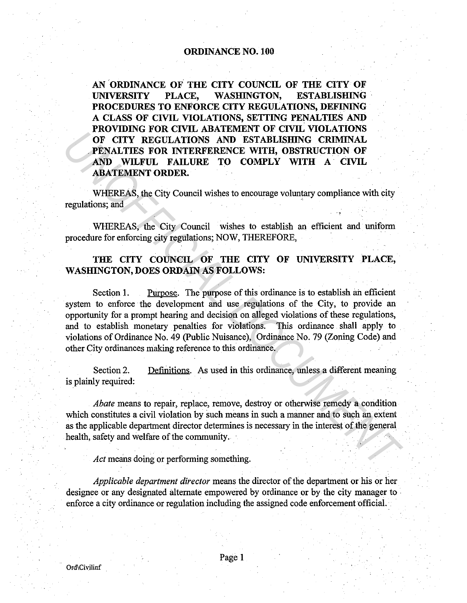## ORDINANCE NO. 100

AN ORDINANCE OF THE CITY COUNCIL OF THE CITY OF UNIVERSITY PLACE, WASHINGTON, ESTABLISHING· PROCEDURES TO ENFORCE CITY REGULATIONS, DEFINING A CLASS OF CIVIL VIOLATIONS, SETTING PENALTIES AND PROVIDING FOR CIVIL ABATEMENT OF CIVIL VIOLATIONS OF CITY REGULATIONS AND ESTABLISHING CRIMINAL PENALTIES FOR INTERFERENCE WITH, OBSTRUCTION OF AND WILFUL FAILURE TO COMPLY WITH A CIVIL ABATEMENT ORDER.

WHEREAS, the City Council wishes to encourage voluntary compliance with city regulations; and

WHEREAS, the City Council wishes to establish an efficient and uniform procedure for enforcing city regulations; NOW, THEREFORE,

## THE CITY COUNCIL OF THE CITY OF UNIVERSITY PLACE, WASHINGTON, DOES ORDAIN AS FOLLOWS:

Section 1. Purpose. The purpose of this ordinance is to establish an efficient system to enforce the development and use regulations of the City, to provide an opportunity for a prompt hearing and decision on alleged violations of these regulations, and to establish monetary penalties for violations. This ordinance shall apply to violations of Ordinance No. 49 (Public Nuisance), Ordinance No. 79 (Zoning Code) and other City ordinances making reference to this ordinance. **THE TRACTES FOR NETHERAL STATES IN ESTABLISHING CRIMINAL PREGULATIONS AND ESTABLISHING CRIMINAL PREMIUME SON INTERFERENCE WITH, OBSTRUCTION OF AND WILFUL FAILURE TO COMPLY WITH A CIVIL ABATEMENT ORDER.**<br>
WHEREAS, the City

Section 2. Definitions. As used in this ordinance, unless a different meaning is plainly required:

*Abate* means to repair, replace, remove, destroy or otherwise remedy a condition which constitutes a civil violation by such means in such a manner and to such an extent as the applicable department director determines is necessary in the interest of the general health, safety and welfare of the community.

*Act* means doing or performing something.

*Applicable department director* means the director of the department or his or her designee or any designated alternate empowered by ordinance or by the city manager to enforce a city ordinance or regulation including the assigned code enforcement official ..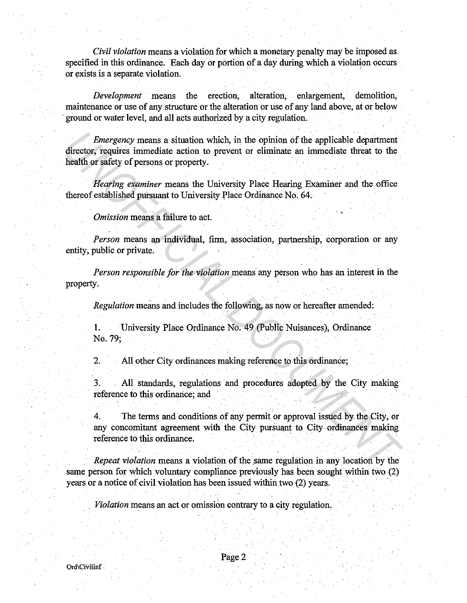*Civil violation* means a violation for which a monetary penalty may be imposed as. specified in this ordinance. Each day or portion of a day during which a violation occurs or exists is a separate violation.

*Development* means the erection, alteration, enlargement, demolition, maintenance or use of any structure or the alteration or use of any land above, at or below ground or water level, and all acts authorized by a city regulation.

*Emergency* means a situation which, in the opinion of the applicable department director, requires immediate action to prevent or eliminate an immediate threat to the health or safety of persons or property. *Emergency* means a situation which, in the opinion of the applicable department<br>director, requires inmediate action to prevent or eliminate an immediate threat to the<br>health or safety of persons or property.<br>Hearing exami

*Hearing examiner* means the University Place Hearing Examiner and the office thereof established pursuant to University Place Ordinance No. 64.

*Omission* means a failure to act.

*Person* means an individual, firm, association, partnership, corporation or any entity, public or private.

*Person responsible for the violation* means any person who has an interest in the property.

*Regulation* means and includes the following, as now or hereafter amended:

1. University Place Ordinance No. 49 (Public Nuisances), Ordinance No. 79;

2. All other City ordinances making reference to this ordinance;

3. All standards, regulations and procedures adopted by the City making reference to this ordinance; and

4. The terms and conditions of any permit or approval issued by the City, or any concomitant agreement with the City pursuant to City ordinances making reference to this ordinance. . .

*Repeat violation* means a violation of the same regulation in any location by the same person for which voluntary compliance previously has been sought within two (2) years or a notice of civil violation has been issued within two (2) years.

*Violation* means an act or omission contrary to a city regulation.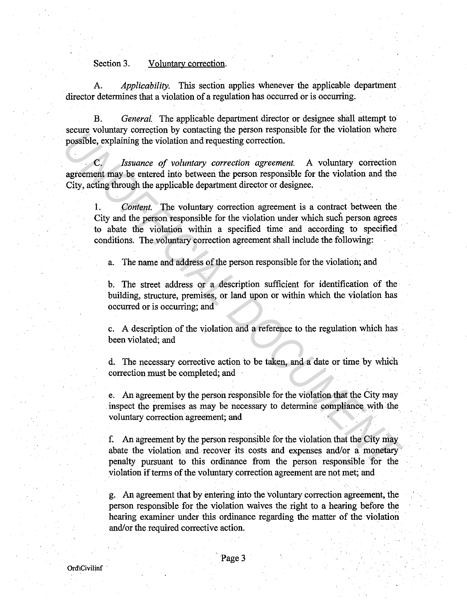## Section 3. Voluntary correction.

A. *Applicability.* This section applies whenever the applicable department director determines that a violation of a regulation has occurred or is occurring.

B. *General.* The applicable department director or designee shall attempt to secure voluntary correction by contacting the person responsible for the violation where possible, explaining the violation and requesting correction.

Issuance of voluntary correction agreement. A voluntary correction agreement may be entered into between the person responsible for the violation and the City, acting through the applicable department director or designee.

1. *Content.* The voluntary correction agreement is a contract between the City and the person responsible for the violation under which such person agrees to abate the violation within a specified time and according to specified conditions. The voluntary correction agreement shall include the following: **Exame contain of COFFICIAL OF CONSIDERAT CONSIDERAT CONSIDERAT CONSIDERAT CONSIDERAT CONSIDERAT CONSIDERAT CONSIDERAT CONSIDERAT CONSIDERAT CONSIDERAT CONSIDERAT CONSIDERAT CONSIDERAT CONSIDERAT CONSIDERAT CONSIDERAT CONS** 

a. The name and address of the person responsible for the violation; and

b. The street address or a description sufficient for identification of the building, structure, premises, or land upon or within which the violation has occurred or is occurring; and

c. A description of the violation and a reference to the regulation which has been violated; and

d. The necessary corrective action to be taken, and a date or time by which correction must be completed; and

e. An agreement by the person responsible for the violation that the City may inspect the premises as may be necessary to determine compliance with the voluntary correction agreement; and

f. An agreement by the person responsible for the violation that the City may abate the violation and recover its costs and expenses and/or a monetary penalty pursuant to this ordinance from the person responsible for the violation if terms of the voluntary correction agreement are not met; and

g. An agreement that by entering into the voluntary correction agreement, the person responsible for the violation waives the right to a hearing before the hearing examiner under this ordinance regarding the matter of the violation and/or the required corrective action.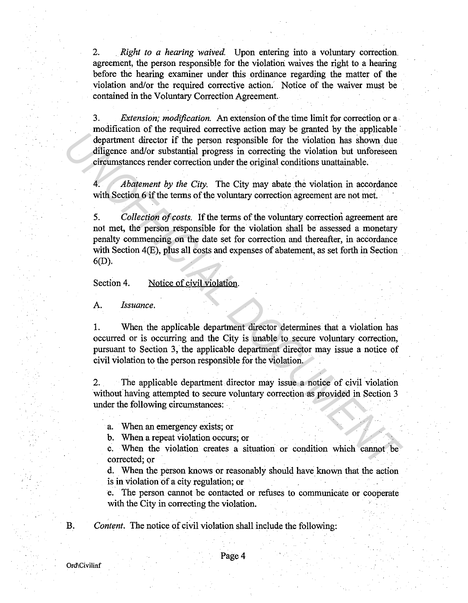2. *Right to a hearing waived.* Upon entering into a voluntary correction. agreement, the person responsible for the violation waives the right to a hearing before the hearing examiner under this ordinance regarding the matter of the violation and/or the required corrective action. Notice of the waiver must be contained in the Voluntary Correction Agreement.

3. *Extension; modification.* An extension of the time limit for correction or a modification of the required corrective action may be granted by the applicable department director if the person responsible for the violation has shown due diligence and/or substantial progress in correcting the violation but unforeseen circumstances render correction under the original conditions unattainable.

4. *Abatement by the City.* The City may abate the violation in accordance with Section 6 if the terms of the voluntary correction agreement are not met.

5. *Collection of costs.* If the terms of the voluntary correction agreement are not met, the person responsible for the violation shall be assessed a monetary penalty commencing on the date set for correction and thereafter, in accordance with Section 4(E), plus all costs and expenses of abatement, as set forth in Section 6(D). Location of a linear contract contract and any of equation has shown due<br>digineer and or substantial progress in correcting the violation has shown due<br>diffusere and or substantial progress in correcting the violation but

Section 4. Notice of civil violation.

A. *Issuance.* 

I. When the applicable department director determines that a violation has occurred or is occurring and the City is unable to secure voluntary correction, pursuant to Section 3, the applicable department director may issue a notice of civil violation to the person responsible for the violation.

2. The applicable department director may issue a notice of civil violation without having attempted to secure voluntary correction as provided in Section 3 under the following circumstances:

a. When an emergency exists; or

b. When a repeat violation occurs; or

c. When the violation creates a situation or condition which cannot be corrected; or

d. When the person knows or reasonably should have. known that the action is in violation of a city regulation; or

e. The person cannot be contacted or refuses to communicate or cooperate with the City in correcting the violation.

B. *Content.* The notice of civil violation shall include the following:

Ord\Civilinf

Page 4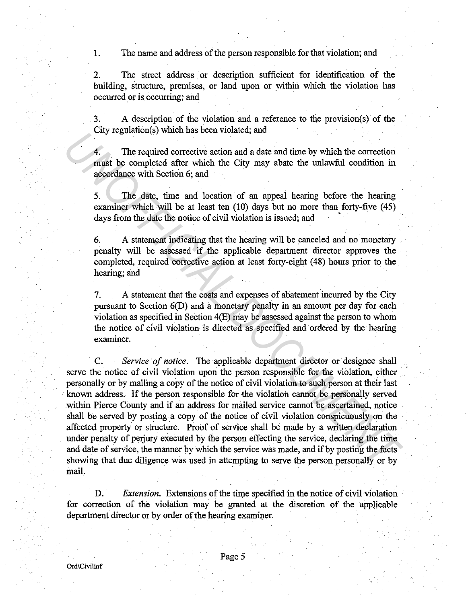1. The name and address of the person responsible for that violation; and

2. The street address or description sufficient for identification of the building, structure, premises, or land upon or within which the violation has occurred or is occurring; and

3. A description of the violation and a reference to the provision(s) of the City regulation(s) which has been violated; and

4. The required corrective action and a date and time by which the correction must be completed after which the City may abate the unlawful condition in accordance with Section 6; and

5. The date, time and location of an appeal hearing before the hearing examiner which will be at least ten (10) days but no more than forty-five (45) days from the date the notice of civil violation is issued; and

6. A statement indicating that the hearing will be canceled and no monetary penalty will be assessed if the applicable department director approves the completed, required corrective action at least forty-eight (48) hours prior to the hearing; and

7. A statement that the costs and expenses of abatement incurred by the City pursuant to Section 6(D) and a monetary penalty in an amount per day for each violation as specified in Section 4(E) may be assessed against the person to whom the notice of civil violation is directed as specified and ordered by the hearing examiner.

C. *Service of notice.* The applicable department director or designee shall serve the notice of civil violation upon the person responsible for the violation, either personally or by mailing a copy of the notice of civil violation to such person at their last known address. If the person responsible for the violation cannot be personally served within Pierce County and if an address for mailed service cannot be ascertained, notice shall be served by posting a copy of the notice of civil violation conspicuously on the affected property or structure. Proof of service shall be made by a written declaration under penalty of perjury executed by the person effecting the service, declaring the time and date of service, the manner by which the service was made, and if by posting the facts showing that due diligence was used in attempting to serve the person personally or by  $\bm{\mathsf{mail}}.$  .  $\bm{\mathsf{mail}}.$  .  $\bm{\mathsf{mail}}.$ *Lay* regulation(s) winch has been viviated, and<br> **4.** The required correction and a date and time by which the correction<br> **4.** The required corrective action of an appeal hearing before the hearing<br>
5. The date, time and

D. *Extension.* Extensions of the time specified in the notice of civil violation for correction of the violation may be granted at the discretion of the applicable department director or by order of the hearing examiner.

Page 5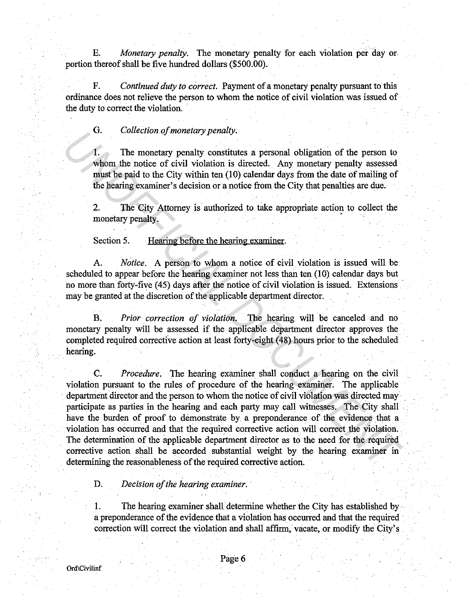E. *Monetary penalty.* The monetary penalty for each violation per day or. portion thereof shall be five hundred dollars (\$500.00).

F. *Continued duty to correct.* Payment of a monetary penalty pursuant to this ordinance does not relieve the person to whom the notice of civil violation was issued of the duty to correct the violation.

G. *Collection of monetary penalty.* 

1. The monetary penalty constitutes a personal obligation of the person to whom the notice of civil violation is directed. Any monetary penalty assessed must be paid to the City within ten (10) calendar days from the date of mailing of the hearing examiner's decision or a notice from the City that penalties are due.

2. The City Attorney is authorized to take appropriate action to collect the monetary penalty.

Section 5. • Hearing before the hearing examiner.

A. *Notice.* A person to whom a notice of civil violation is issued will be scheduled to appear before the hearing examiner not less than ten (10) calendar days but no more than forty-five (45) days after the notice of civil violation is issued. Extensions may be granted at the discretion of the applicable department director.

B. *Prior correction of violation.* The hearing will be canceled and no monetary penalty will be assessed if the applicable department director approves the completed required corrective action at least forty-eight (48) hours prior to the scheduled hearing.

C. *Procedure.* The hearing examiner shall conduct a hearing on the civil violation pursuant to the rules of procedure of the hearing examiner. The applicable department director and the person to whom the notice of civil violation was directed may participate as parties in the hearing and each party may call witnesses. The City shall have the burden of proof to demonstrate by a preponderance of the evidence that a violation has occurred and that the required corrective aetion will· correct the violation. The determination of the applicable department director as to the need for the required corrective action shall be accorded substantial weight by the hearing examiner in determining the reasonableness of the required corrective action. **1.** *Unieed only monetary penaly.*<br> **1.** *Unieed on the most penaly considered.* Any monetary penalty assessed which the notice of civil violation is directed. Any monetary penalty assessed must be paid to the City withi

D. *Decision of the hearing examiner.* 

1. The hearing examiner shall determine whether the City has established by a preponderance of the evidence that a violation has occurred and that the required correction will correct the violation and shall affirm, vacate, or modify the City's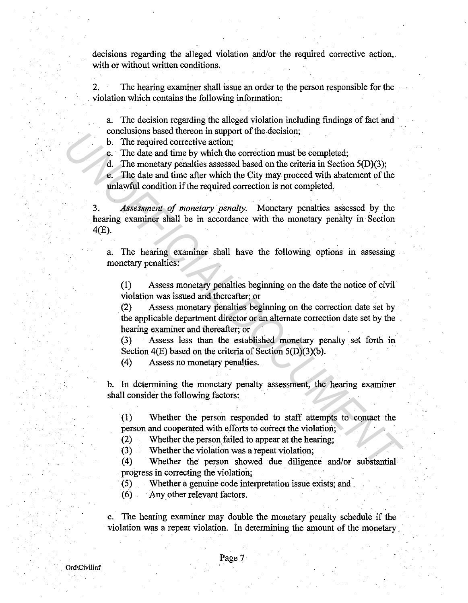decisions regarding the alleged violation and/or the required corrective action,. with or without written conditions.

2. The hearing examiner shall issue an order to the person responsible for the violation which contains the following information:

a. The decision regarding the alleged violation including findings of fact and conclusions based thereon in support of the decision;

b. The required corrective action;

c. The date and time by which the correction must be completed;

d. The monetary penalties assessed based on the criteria in Section 5(D)(3);

e. The date and time after which the City may proceed with abatement of the unlawful condition if the required correction is not completed.

3. *Assessment of monetary penalty.* Monetary penalties assessed by the hearing examiner shall be in accordance with the monetary penalty in Section 4(E). **UNIFICIAL CONSULTERATION** of the contention in support of the captured corrective action;<br> **U.** The required corrective action;<br> **C.** The date and time show which the correction must be completed;<br> **C.** The date and time

a. The hearing examiner shall have the following options in assessing monetary penalties:

(1) Assess monetary penalties beginning on the date the notice of civil violation was issued and thereafter; or

(2) Assess monetary penalties beginning on the correction date set by the applicable department director or an alternate correction date set by the hearing examiner and thereafter; or

(3) Assess less than the established monetary penalty set forth in Section 4(E) based on the criteria of Section 5(D)(3)(b).

 $(4)$  Assess no monetary penalties.

b. In determining the monetary penalty assessment, the hearing examiner shall consider the following factors:

( 1) Whether the person responded to staff attempts to contact the person and cooperated with efforts to correct the violation;

(2) Whether the person failed to appear at the hearing;

(3) Whether the violation was a repeat violation;

(4) Whether the person showed due diligence and/or substantial progress in correcting the violation;

(5) Whether a genuine code interpretation issue exists; and

( 6) Any other relevant factors.

c. The hearing examiner may double the monetary penalty schedule if the violation was a repeat violation. In determining the amount of the monetary .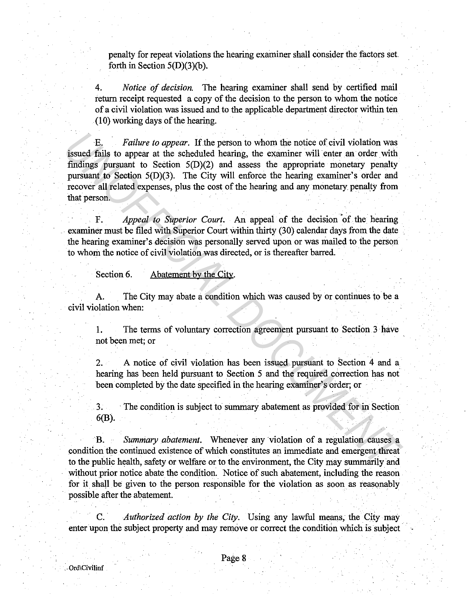penalty for repeat violations the hearing examiner shall consider the factors set. forth in Section  $5(D)(3)(b)$ .

4. *Notice of decision.* The hearing examiner shall send by certified mail return receipt requested a copy of the decision to the person to whom the notice of a civil violation was issued and to the applicable department director within ten (10) working days of the hearing.

E. *Failure to appear.* If the person to whom the notice of civil violation was issued fails to appear at the scheduled hearing, the examiner will enter an order with findings pursuant to Section 5(D)(2) and assess the appropriate monetary penalty pursuant to Section 5(D)(3). The City will enforce the hearing examiner's order and recover all related expenses, plus the cost of the hearing and any monetary penalty from that person. E. Failure to appear. If the person to whom the notice of civil violation was<br>
issued fails to appear at the scheduled teaming, the examiner will enter an order with<br>
findings pursuant to Section 5(D)(3). The City will en

F. *Appeal to Superior Court*. An appeal of the decision of the hearing examiner must be filed with Superior Court within thirty (30) calendar days from the date the hearing examiner's decision was personally served upon or was mailed to the person to whom the notice of civil violation was directed, or is thereafter barred.

Section 6. Abatement by the City.

A. The City may abate a condition which was caused by or continues to be a civil violation when:

1. The terms of voluntary correction agreement pursuant to Section 3 have not been met; or

2. A notice of civil violation has been issued pursuant to Section 4 and a hearing has been held pursuant to Section 5 and the required correction has not been completed by the date specified in the hearing examiner's order; or

3. The condition is subject to summary abatement as provided for in Section 6(B).

B. *Summary abatement.* Whenever any violation of a regulation causes a condition the continued existence of which constitutes an immediate and emergent threat to the public health, safety or welfare or to the environment, the City may summarily and without prior notice abate the condition. Notice of such abatement, including the reason for it shall be given to the person responsible for the violation as soon as reasonably possible after the abatement.

C. · *Authorized action by the City.* Using any lawful means, the City may enter upon the subject property and may remove or correct the condition which is subject -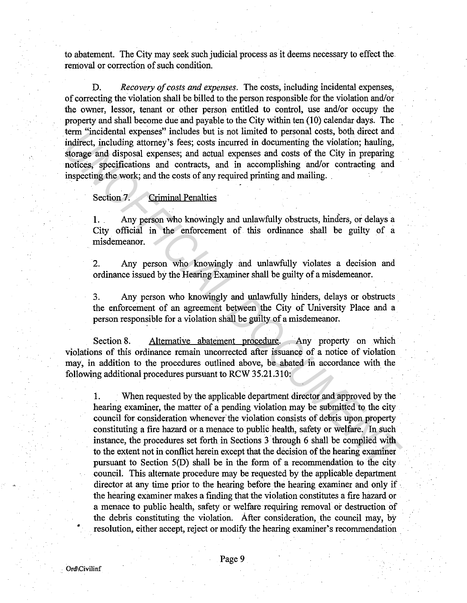to abatement. The City may seek such judicial process as it deems necessary to effect the. removal or correction of such condition.

D. *Recovery of costs and expenses.* The costs, including incidental expenses, of correcting the violation shall be billed to the person responsible for the violation and/or the owner, lessor, tenant or other person entitled to control, use and/or occupy the property and shall become due and payable to the City within ten (10) calendar days. The term "incidental expenses" includes but is not limited to personal costs, both direct and indirect, including attorney's fees; costs incurred in documenting the violation; hauling, storage and disposal expenses; and actual expenses and costs of the City in preparing notices, specifications and contracts, and in accomplishing and/or contracting and inspecting the work; and the costs of any required printing and mailing. .

## Section 7. Criminal Penalties

1. . Any person who knowingly and unlawfully obstructs, hinders, or delays a City official in the enforcement of this ordinance shall be guilty of a misdemeanor.

2. Any person who knowingly and unlawfully violates a decision and ordinance issued by the Hearing Examiner shall be guilty of a misdemeanor.

3. Any person who knowingly and unlawfully hinders, delays or obstructs. the enforcement of an agreement between the City of University Place and a person responsible for a violation shall be guilty of a misdemeanor.

Section 8. Alternative abatement procedure. Any property on which violations of this ordinance remain uncorrected after issuance of a notice of violation may, in addition to the procedures outlined above, be abated in accordance with the following additional procedures pursuant to RCW 35.21.310:

1. When requested by the applicable department director and approved by the hearing examiner, the matter of a pending violation may be submitted to the city council for consideration whenever the violation consists of debris upon property constituting a fire hazard or a menace to public health, safety or welfare. In such instance, the procedures set forth in Sections 3 through 6 shall be complied with to the extent not in conflict herein except that the decision of the hearing examiner pursuant to Section S(D) shall be in the form of a recommendation to the city council. This alternate procedure may be requested by the applicable department director at any time prior to the hearing before the hearing examiner and only if the hearing examiner makes a finding that the violation constitutes a fire hazard or a menace to public health, safety or welfare requiring removal or destruction of the debris constituting the violation. After consideration, the council may, by resolution, either accept, reject or modify the hearing examiner's recommendation From "nototanta express" includes but is not imited to personal costs, oom are<br>cet and disposal experimented in documenting the volation; hauling,<br>storage and disposal expenses; and actual expenses and costs of the City in

•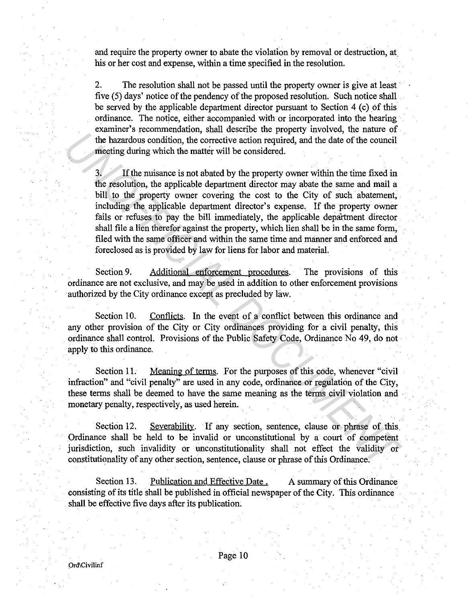and require the property owner to abate the violation by removal or destruction, at his or her cost and expense, within a time specified in the resolution.

2. The resolution shall not be passed until the property owner is give at least five (5) days' notice of the pendency of the proposed resolution. Such notice shall be served by the applicable department director pursuant to Section 4 (c) of this ordinance. The notice, either accompanied with or incorporated into the hearing examiner's recommendation, shall describe the property involved, the nature of the hazardous condition, the corrective action required, and the date of the council meeting during which the matter will be considered.

3. If the nuisance is not abated by the property owner within the time fixed in the resolution, the applicable department director may abate the same and mail a bill to the property owner covering the cost to the City of such abatement, including the applicable department director's expense. If the property owner fails or refuses to pay the bill immediately, the applicable department director shall file a lien therefor against the property, which lien shall be in the same form, filed with the same officer and within the same time and manner and enforced and foreclosed as is provided by law for liens for labor and material. The human Processor and motion to property and the date of the council<br>the hazardoos condition, the corrective action required, and the date of the council<br>meeting during which the matter will be considered.<br>
3. If the mu

Section 9. Additional enforcement procedures. The provisions of this ordinance are not exclusive, and may be used in addition to other enforcement provisions authorized by the City ordinance except as precluded by faw.

Section 10. Conflicts. In the event of a conflict between this ordinance and any other provision of the City or City ordinances providing for a civil penalty, this ordinance shall control. Provisions of the Public Safety Code, Ordinance No 49, do not apply to this ordinance.

Section 11. Meaning of terms. For the purposes of this code, whenever "civil" infraction" and "civil penalty" are used in any code, ordinance or regulation of the City, these terms shall be deemed to have the same meaning as the terms civil violation and monetary penalty, respectively, as used herein.

Section 12. Severability. If any section, sentence, clause or phrase of this. Ordinance shall be held to be invalid or unconstitutional by a court of competent jurisdiction, such invalidity or unconstitutionality shall not effect the validity or constitutionality of any other section, sentence, clause or phrase of this Ordinance.

Section 13. Publication and Effective Date. A summary of this Ordinance consisting of its title shall be published in official newspaper of the City. This ordinance shall be effective five days after its publication;